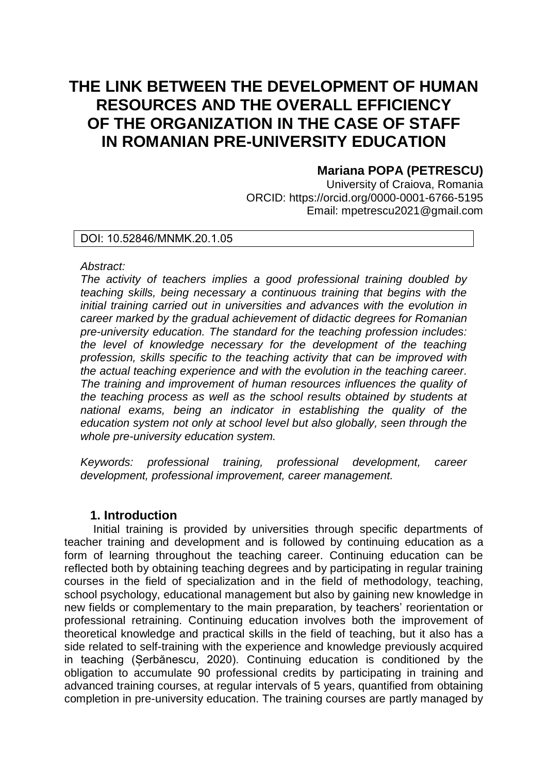# **THE LINK BETWEEN THE DEVELOPMENT OF HUMAN RESOURCES AND THE OVERALL EFFICIENCY OF THE ORGANIZATION IN THE CASE OF STAFF IN ROMANIAN PRE-UNIVERSITY EDUCATION**

# **Mariana POPA (PETRESCU)**

University of Craiova, Romania ORCID: https://orcid.org/0000-0001-6766-5195 Email: mpetrescu2021@gmail.com

## DOI: 10.52846/MNMK.20.1.05

#### *Abstract:*

*The activity of teachers implies a good professional training doubled by teaching skills, being necessary a continuous training that begins with the initial training carried out in universities and advances with the evolution in career marked by the gradual achievement of didactic degrees for Romanian pre-university education. The standard for the teaching profession includes: the level of knowledge necessary for the development of the teaching profession, skills specific to the teaching activity that can be improved with the actual teaching experience and with the evolution in the teaching career. The training and improvement of human resources influences the quality of the teaching process as well as the school results obtained by students at national exams, being an indicator in establishing the quality of the education system not only at school level but also globally, seen through the whole pre-university education system.* 

*Keywords: professional training, professional development, career development, professional improvement, career management.* 

### **1. Introduction**

Initial training is provided by universities through specific departments of teacher training and development and is followed by continuing education as a form of learning throughout the teaching career. Continuing education can be reflected both by obtaining teaching degrees and by participating in regular training courses in the field of specialization and in the field of methodology, teaching, school psychology, educational management but also by gaining new knowledge in new fields or complementary to the main preparation, by teachers' reorientation or professional retraining. Continuing education involves both the improvement of theoretical knowledge and practical skills in the field of teaching, but it also has a side related to self-training with the experience and knowledge previously acquired in teaching (Șerbănescu, 2020). Continuing education is conditioned by the obligation to accumulate 90 professional credits by participating in training and advanced training courses, at regular intervals of 5 years, quantified from obtaining completion in pre-university education. The training courses are partly managed by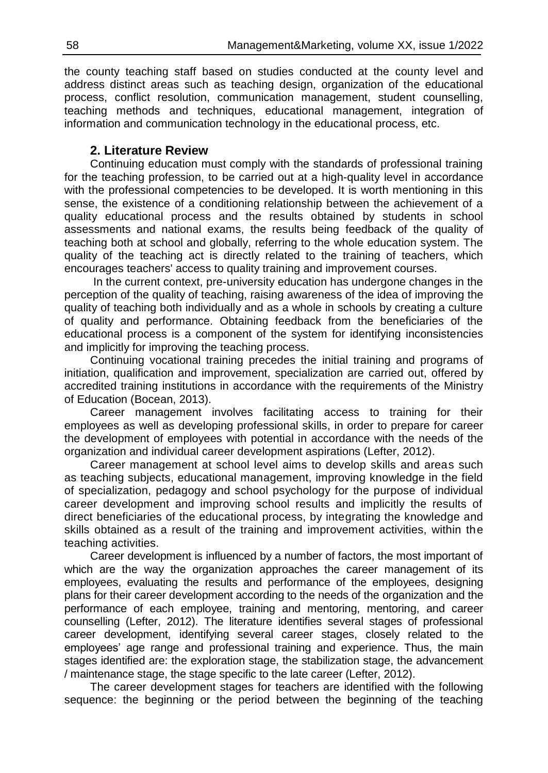j the county teaching staff based on studies conducted at the county level and address distinct areas such as teaching design, organization of the educational process, conflict resolution, communication management, student counselling, teaching methods and techniques, educational management, integration of information and communication technology in the educational process, etc.

# **2. Literature Review**

Continuing education must comply with the standards of professional training for the teaching profession, to be carried out at a high-quality level in accordance with the professional competencies to be developed. It is worth mentioning in this sense, the existence of a conditioning relationship between the achievement of a quality educational process and the results obtained by students in school assessments and national exams, the results being feedback of the quality of teaching both at school and globally, referring to the whole education system. The quality of the teaching act is directly related to the training of teachers, which encourages teachers' access to quality training and improvement courses.

In the current context, pre-university education has undergone changes in the perception of the quality of teaching, raising awareness of the idea of improving the quality of teaching both individually and as a whole in schools by creating a culture of quality and performance. Obtaining feedback from the beneficiaries of the educational process is a component of the system for identifying inconsistencies and implicitly for improving the teaching process.

Continuing vocational training precedes the initial training and programs of initiation, qualification and improvement, specialization are carried out, offered by accredited training institutions in accordance with the requirements of the Ministry of Education (Bocean, 2013).

Career management involves facilitating access to training for their employees as well as developing professional skills, in order to prepare for career the development of employees with potential in accordance with the needs of the organization and individual career development aspirations (Lefter, 2012).

Career management at school level aims to develop skills and areas such as teaching subjects, educational management, improving knowledge in the field of specialization, pedagogy and school psychology for the purpose of individual career development and improving school results and implicitly the results of direct beneficiaries of the educational process, by integrating the knowledge and skills obtained as a result of the training and improvement activities, within the teaching activities.

Career development is influenced by a number of factors, the most important of which are the way the organization approaches the career management of its employees, evaluating the results and performance of the employees, designing plans for their career development according to the needs of the organization and the performance of each employee, training and mentoring, mentoring, and career counselling (Lefter, 2012). The literature identifies several stages of professional career development, identifying several career stages, closely related to the employees' age range and professional training and experience. Thus, the main stages identified are: the exploration stage, the stabilization stage, the advancement / maintenance stage, the stage specific to the late career (Lefter, 2012).

The career development stages for teachers are identified with the following sequence: the beginning or the period between the beginning of the teaching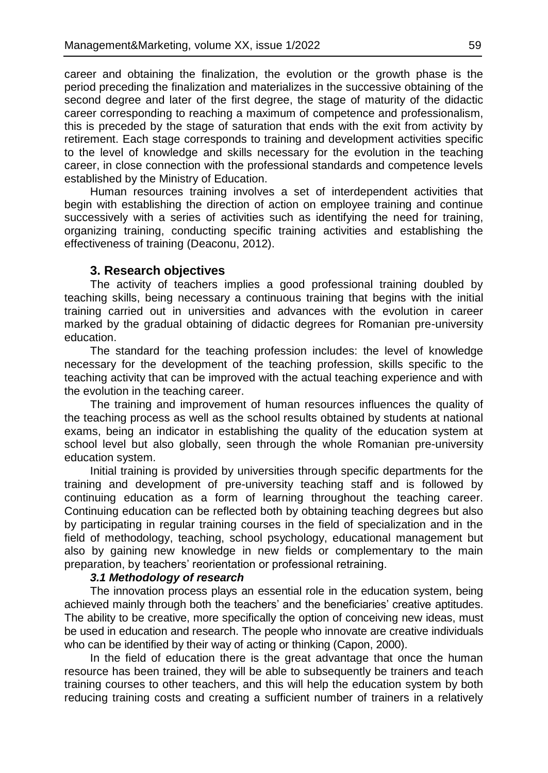career and obtaining the finalization, the evolution or the growth phase is the period preceding the finalization and materializes in the successive obtaining of the second degree and later of the first degree, the stage of maturity of the didactic career corresponding to reaching a maximum of competence and professionalism, this is preceded by the stage of saturation that ends with the exit from activity by retirement. Each stage corresponds to training and development activities specific to the level of knowledge and skills necessary for the evolution in the teaching career, in close connection with the professional standards and competence levels established by the Ministry of Education.

Human resources training involves a set of interdependent activities that begin with establishing the direction of action on employee training and continue successively with a series of activities such as identifying the need for training, organizing training, conducting specific training activities and establishing the effectiveness of training (Deaconu, 2012).

#### **3. Research objectives**

The activity of teachers implies a good professional training doubled by teaching skills, being necessary a continuous training that begins with the initial training carried out in universities and advances with the evolution in career marked by the gradual obtaining of didactic degrees for Romanian pre-university education.

The standard for the teaching profession includes: the level of knowledge necessary for the development of the teaching profession, skills specific to the teaching activity that can be improved with the actual teaching experience and with the evolution in the teaching career.

The training and improvement of human resources influences the quality of the teaching process as well as the school results obtained by students at national exams, being an indicator in establishing the quality of the education system at school level but also globally, seen through the whole Romanian pre-university education system.

Initial training is provided by universities through specific departments for the training and development of pre-university teaching staff and is followed by continuing education as a form of learning throughout the teaching career. Continuing education can be reflected both by obtaining teaching degrees but also by participating in regular training courses in the field of specialization and in the field of methodology, teaching, school psychology, educational management but also by gaining new knowledge in new fields or complementary to the main preparation, by teachers' reorientation or professional retraining.

#### *3.1 Methodology of research*

The innovation process plays an essential role in the education system, being achieved mainly through both the teachers' and the beneficiaries' creative aptitudes. The ability to be creative, more specifically the option of conceiving new ideas, must be used in education and research. The people who innovate are creative individuals who can be identified by their way of acting or thinking (Capon, 2000).

In the field of education there is the great advantage that once the human resource has been trained, they will be able to subsequently be trainers and teach training courses to other teachers, and this will help the education system by both reducing training costs and creating a sufficient number of trainers in a relatively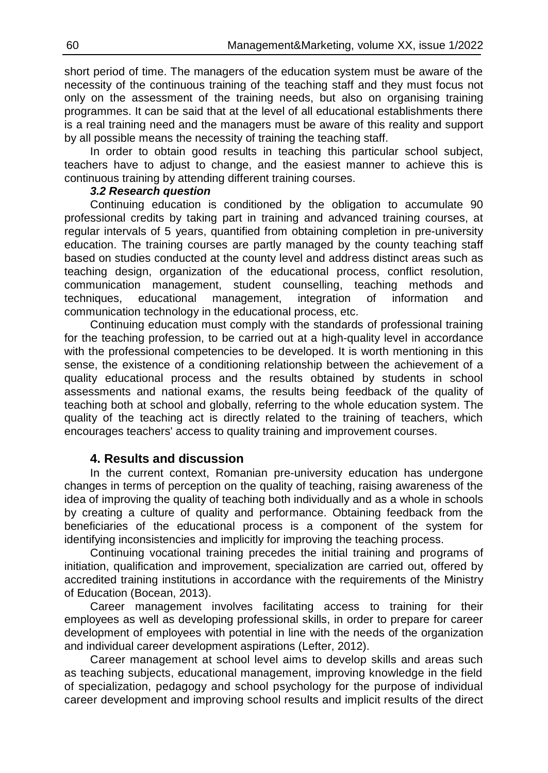short period of time. The managers of the education system must be aware of the necessity of the continuous training of the teaching staff and they must focus not only on the assessment of the training needs, but also on organising training programmes. It can be said that at the level of all educational establishments there is a real training need and the managers must be aware of this reality and support by all possible means the necessity of training the teaching staff.

In order to obtain good results in teaching this particular school subject, teachers have to adjust to change, and the easiest manner to achieve this is continuous training by attending different training courses.

## *3.2 Research question*

Continuing education is conditioned by the obligation to accumulate 90 professional credits by taking part in training and advanced training courses, at regular intervals of 5 years, quantified from obtaining completion in pre-university education. The training courses are partly managed by the county teaching staff based on studies conducted at the county level and address distinct areas such as teaching design, organization of the educational process, conflict resolution, communication management, student counselling, teaching methods and techniques, educational management, integration of information and communication technology in the educational process, etc.

Continuing education must comply with the standards of professional training for the teaching profession, to be carried out at a high-quality level in accordance with the professional competencies to be developed. It is worth mentioning in this sense, the existence of a conditioning relationship between the achievement of a quality educational process and the results obtained by students in school assessments and national exams, the results being feedback of the quality of teaching both at school and globally, referring to the whole education system. The quality of the teaching act is directly related to the training of teachers, which encourages teachers' access to quality training and improvement courses.

# **4. Results and discussion**

In the current context, Romanian pre-university education has undergone changes in terms of perception on the quality of teaching, raising awareness of the idea of improving the quality of teaching both individually and as a whole in schools by creating a culture of quality and performance. Obtaining feedback from the beneficiaries of the educational process is a component of the system for identifying inconsistencies and implicitly for improving the teaching process.

Continuing vocational training precedes the initial training and programs of initiation, qualification and improvement, specialization are carried out, offered by accredited training institutions in accordance with the requirements of the Ministry of Education (Bocean, 2013).

Career management involves facilitating access to training for their employees as well as developing professional skills, in order to prepare for career development of employees with potential in line with the needs of the organization and individual career development aspirations (Lefter, 2012).

Career management at school level aims to develop skills and areas such as teaching subjects, educational management, improving knowledge in the field of specialization, pedagogy and school psychology for the purpose of individual career development and improving school results and implicit results of the direct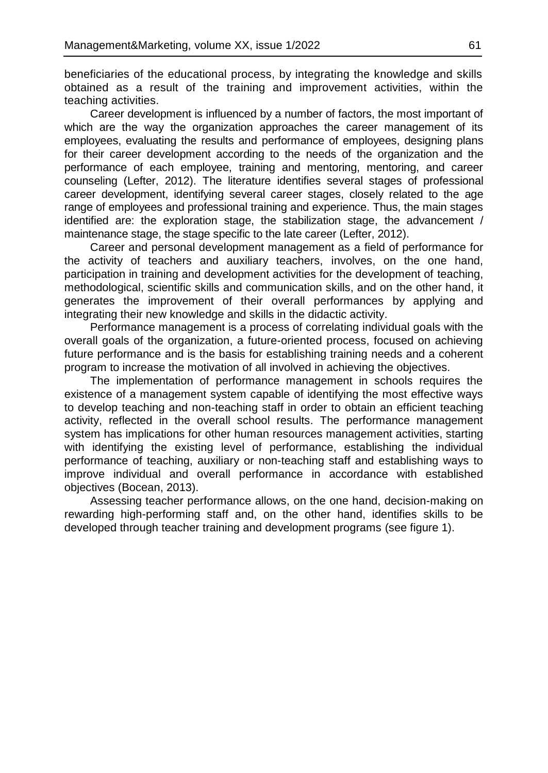beneficiaries of the educational process, by integrating the knowledge and skills obtained as a result of the training and improvement activities, within the teaching activities.

Career development is influenced by a number of factors, the most important of which are the way the organization approaches the career management of its employees, evaluating the results and performance of employees, designing plans for their career development according to the needs of the organization and the performance of each employee, training and mentoring, mentoring, and career counseling (Lefter, 2012). The literature identifies several stages of professional career development, identifying several career stages, closely related to the age range of employees and professional training and experience. Thus, the main stages identified are: the exploration stage, the stabilization stage, the advancement / maintenance stage, the stage specific to the late career (Lefter, 2012).

Career and personal development management as a field of performance for the activity of teachers and auxiliary teachers, involves, on the one hand, participation in training and development activities for the development of teaching, methodological, scientific skills and communication skills, and on the other hand, it generates the improvement of their overall performances by applying and integrating their new knowledge and skills in the didactic activity.

Performance management is a process of correlating individual goals with the overall goals of the organization, a future-oriented process, focused on achieving future performance and is the basis for establishing training needs and a coherent program to increase the motivation of all involved in achieving the objectives.

The implementation of performance management in schools requires the existence of a management system capable of identifying the most effective ways to develop teaching and non-teaching staff in order to obtain an efficient teaching activity, reflected in the overall school results. The performance management system has implications for other human resources management activities, starting with identifying the existing level of performance, establishing the individual performance of teaching, auxiliary or non-teaching staff and establishing ways to improve individual and overall performance in accordance with established objectives (Bocean, 2013).

Assessing teacher performance allows, on the one hand, decision-making on rewarding high-performing staff and, on the other hand, identifies skills to be developed through teacher training and development programs (see figure 1).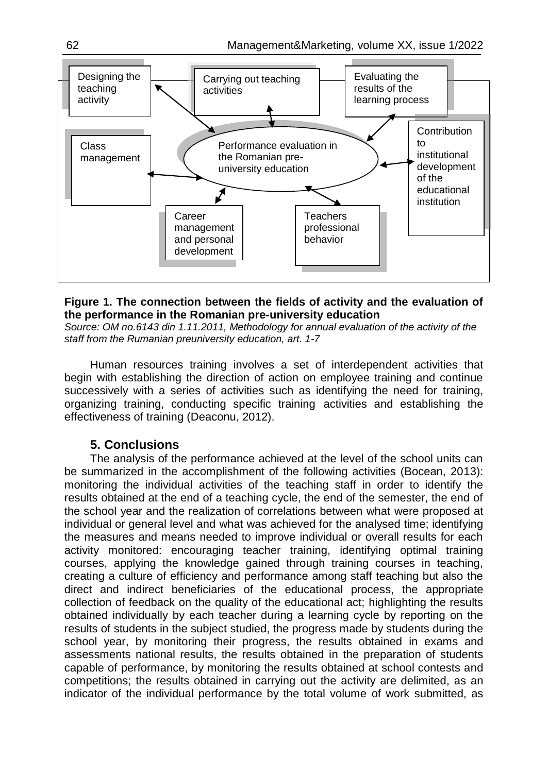

### **Figure 1. The connection between the fields of activity and the evaluation of the performance in the Romanian pre-university education**

*Source: OM no.6143 din 1.11.2011, Methodology for annual evaluation of the activity of the staff from the Rumanian preuniversity education, art. 1-7*

Human resources training involves a set of interdependent activities that begin with establishing the direction of action on employee training and continue successively with a series of activities such as identifying the need for training, organizing training, conducting specific training activities and establishing the effectiveness of training (Deaconu, 2012).

# **5. Conclusions**

The analysis of the performance achieved at the level of the school units can be summarized in the accomplishment of the following activities (Bocean, 2013): monitoring the individual activities of the teaching staff in order to identify the results obtained at the end of a teaching cycle, the end of the semester, the end of the school year and the realization of correlations between what were proposed at individual or general level and what was achieved for the analysed time; identifying the measures and means needed to improve individual or overall results for each activity monitored: encouraging teacher training, identifying optimal training courses, applying the knowledge gained through training courses in teaching, creating a culture of efficiency and performance among staff teaching but also the direct and indirect beneficiaries of the educational process, the appropriate collection of feedback on the quality of the educational act; highlighting the results obtained individually by each teacher during a learning cycle by reporting on the results of students in the subject studied, the progress made by students during the school year, by monitoring their progress, the results obtained in exams and assessments national results, the results obtained in the preparation of students capable of performance, by monitoring the results obtained at school contests and competitions; the results obtained in carrying out the activity are delimited, as an indicator of the individual performance by the total volume of work submitted, as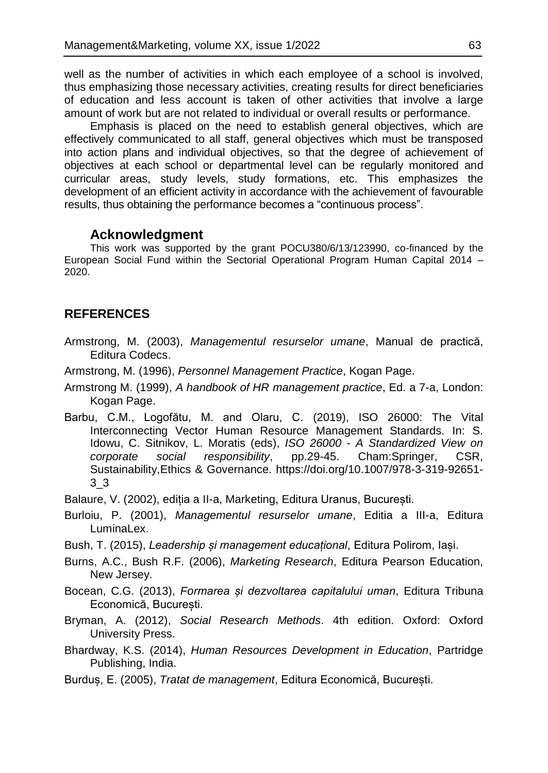well as the number of activities in which each employee of a school is involved, thus emphasizing those necessary activities, creating results for direct beneficiaries of education and less account is taken of other activities that involve a large amount of work but are not related to individual or overall results or performance.

Emphasis is placed on the need to establish general objectives, which are effectively communicated to all staff, general objectives which must be transposed into action plans and individual objectives, so that the degree of achievement of objectives at each school or departmental level can be regularly monitored and curricular areas, study levels, study formations, etc. This emphasizes the development of an efficient activity in accordance with the achievement of favourable results, thus obtaining the performance becomes a "continuous process".

## **Acknowledgment**

This work was supported by the grant POCU380/6/13/123990, co-financed by the European Social Fund within the Sectorial Operational Program Human Capital 2014 – 2020.

# **REFERENCES**

- Armstrong, M. (2003), *Managementul resurselor umane*, Manual de practică, Editura Codecs.
- Armstrong, M. (1996), *Personnel Management Practice*, Kogan Page.
- Armstrong M. (1999), *A handbook of HR management practice*, Ed. a 7-a, London: Kogan Page.
- Barbu, C.M., Logofătu, M. and Olaru, C. (2019), ISO 26000: The Vital Interconnecting Vector Human Resource Management Standards. In: S. Idowu, C. Sitnikov, L. Moratis (eds), *ISO 26000 - A Standardized View on corporate social responsibility*, pp.29-45. Cham:Springer, CSR, Sustainability,Ethics & Governance. [https://doi.org/10.1007/978-3-319-92651-](https://doi.org/10.1007/978-3-319-92651-3_3) [3\\_3](https://doi.org/10.1007/978-3-319-92651-3_3)
- Balaure, V. (2002), ediția a II-a, Marketing, Editura Uranus, București.
- Burloiu, P. (2001), *Managementul resurselor umane*, Editia a III-a, Editura LuminaLex.
- Bush, T. (2015), *Leadership și management educațional*, Editura Polirom, Iași.
- Burns, A.C., Bush R.F. (2006), *Marketing Research*, Editura Pearson Education, New Jersey.
- Bocean, C.G. (2013), *Formarea și dezvoltarea capitalului uman*, Editura Tribuna Economică, București.
- Bryman, A. (2012), *Social Research Methods*. 4th edition. Oxford: Oxford University Press.
- Bhardway, K.S. (2014), *Human Resources Development in Education*, Partridge Publishing, India.
- Burduș, E. (2005), *Tratat de management*, Editura Economică, București.